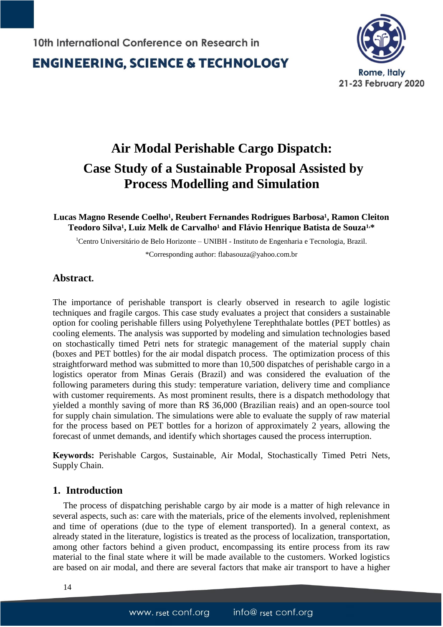**ENGINEERING, SCIENCE & TECHNOLOGY** 



# **Air Modal Perishable Cargo Dispatch: Case Study of a Sustainable Proposal Assisted by Process Modelling and Simulation**

### Lucas Magno Resende Coelho<sup>1</sup>, Reubert Fernandes Rodrigues Barbosa<sup>1</sup>, Ramon Cleiton  $T$ eodoro Silva<sup>1</sup>, Luiz Melk de Carvalho<sup>1</sup> and Flávio Henrique Batista de Souza<sup>1,\*</sup>

<sup>1</sup>Centro Universitário de Belo Horizonte – UNIBH - Instituto de Engenharia e Tecnologia, Brazil.

\*Corresponding author: flabasouza@yahoo.com.br

## **Abstract.**

The importance of perishable transport is clearly observed in research to agile logistic techniques and fragile cargos. This case study evaluates a project that considers a sustainable option for cooling perishable fillers using Polyethylene Terephthalate bottles (PET bottles) as cooling elements. The analysis was supported by modeling and simulation technologies based on stochastically timed Petri nets for strategic management of the material supply chain (boxes and PET bottles) for the air modal dispatch process. The optimization process of this straightforward method was submitted to more than 10,500 dispatches of perishable cargo in a logistics operator from Minas Gerais (Brazil) and was considered the evaluation of the following parameters during this study: temperature variation, delivery time and compliance with customer requirements. As most prominent results, there is a dispatch methodology that yielded a monthly saving of more than R\$ 36,000 (Brazilian reais) and an open-source tool for supply chain simulation. The simulations were able to evaluate the supply of raw material for the process based on PET bottles for a horizon of approximately 2 years, allowing the forecast of unmet demands, and identify which shortages caused the process interruption.

**Keywords:** Perishable Cargos, Sustainable, Air Modal, Stochastically Timed Petri Nets, Supply Chain.

## **1. Introduction**

The process of dispatching perishable cargo by air mode is a matter of high relevance in several aspects, such as: care with the materials, price of the elements involved, replenishment and time of operations (due to the type of element transported). In a general context, as already stated in the literature, logistics is treated as the process of localization, transportation, among other factors behind a given product, encompassing its entire process from its raw material to the final state where it will be made available to the customers. Worked logistics are based on air modal, and there are several factors that make air transport to have a higher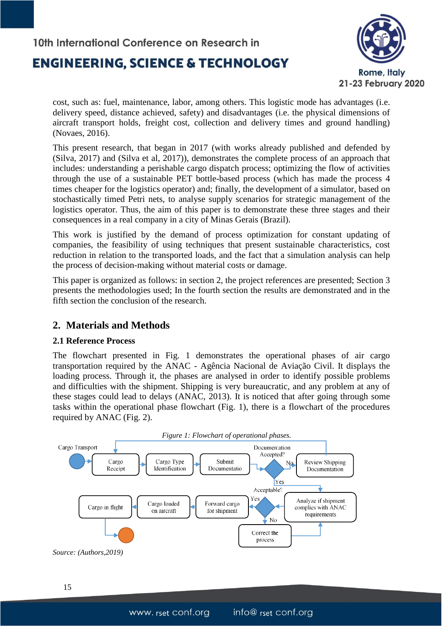## **ENGINEERING, SCIENCE & TECHNOLOGY**



cost, such as: fuel, maintenance, labor, among others. This logistic mode has advantages (i.e. delivery speed, distance achieved, safety) and disadvantages (i.e. the physical dimensions of aircraft transport holds, freight cost, collection and delivery times and ground handling) (Novaes, 2016).

This present research, that began in 2017 (with works already published and defended by (Silva, 2017) and (Silva et al, 2017)), demonstrates the complete process of an approach that includes: understanding a perishable cargo dispatch process; optimizing the flow of activities through the use of a sustainable PET bottle-based process (which has made the process 4 times cheaper for the logistics operator) and; finally, the development of a simulator, based on stochastically timed Petri nets, to analyse supply scenarios for strategic management of the logistics operator. Thus, the aim of this paper is to demonstrate these three stages and their consequences in a real company in a city of Minas Gerais (Brazil).

This work is justified by the demand of process optimization for constant updating of companies, the feasibility of using techniques that present sustainable characteristics, cost reduction in relation to the transported loads, and the fact that a simulation analysis can help the process of decision-making without material costs or damage.

This paper is organized as follows: in section 2, the project references are presented; Section 3 presents the methodologies used; In the fourth section the results are demonstrated and in the fifth section the conclusion of the research.

## **2. Materials and Methods**

### **2.1 Reference Process**

The flowchart presented in Fig. 1 demonstrates the operational phases of air cargo transportation required by the ANAC - Agência Nacional de Aviação Civil. It displays the loading process. Through it, the phases are analysed in order to identify possible problems and difficulties with the shipment. Shipping is very bureaucratic, and any problem at any of these stages could lead to delays (ANAC, 2013). It is noticed that after going through some tasks within the operational phase flowchart (Fig. 1), there is a flowchart of the procedures required by ANAC (Fig. 2).



15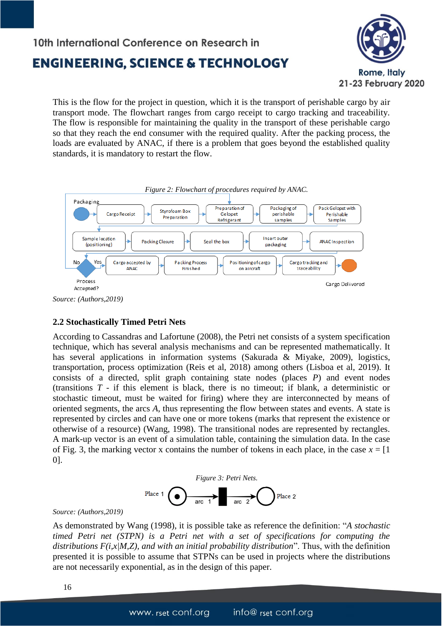

This is the flow for the project in question, which it is the transport of perishable cargo by air transport mode. The flowchart ranges from cargo receipt to cargo tracking and traceability. The flow is responsible for maintaining the quality in the transport of these perishable cargo so that they reach the end consumer with the required quality. After the packing process, the loads are evaluated by ANAC, if there is a problem that goes beyond the established quality standards, it is mandatory to restart the flow.



### **2.2 Stochastically Timed Petri Nets**

According to Cassandras and Lafortune (2008), the Petri net consists of a system specification technique, which has several analysis mechanisms and can be represented mathematically. It has several applications in information systems (Sakurada & Miyake, 2009), logistics, transportation, process optimization (Reis et al, 2018) among others (Lisboa et al, 2019). It consists of a directed, split graph containing state nodes (places *P*) and event nodes (transitions *T* - if this element is black, there is no timeout; if blank, a deterministic or stochastic timeout, must be waited for firing) where they are interconnected by means of oriented segments, the arcs *A*, thus representing the flow between states and events. A state is represented by circles and can have one or more tokens (marks that represent the existence or otherwise of a resource) (Wang, 1998). The transitional nodes are represented by rectangles. A mark-up vector is an event of a simulation table, containing the simulation data. In the case of Fig. 3, the marking vector x contains the number of tokens in each place, in the case  $x = [1]$ 0].



#### *Source: (Authors,2019)*

As demonstrated by Wang (1998), it is possible take as reference the definition: "*A stochastic timed Petri net (STPN) is a Petri net with a set of specifications for computing the distributions F(i,x|M,Z), and with an initial probability distribution*". Thus, with the definition presented it is possible to assume that STPNs can be used in projects where the distributions are not necessarily exponential, as in the design of this paper.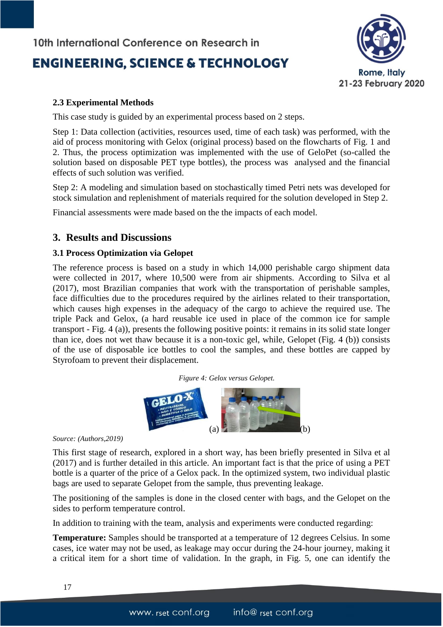# **ENGINEERING, SCIENCE & TECHNOLOGY**



### **2.3 Experimental Methods**

This case study is guided by an experimental process based on 2 steps.

Step 1: Data collection (activities, resources used, time of each task) was performed, with the aid of process monitoring with Gelox (original process) based on the flowcharts of Fig. 1 and 2. Thus, the process optimization was implemented with the use of GeloPet (so-called the solution based on disposable PET type bottles), the process was analysed and the financial effects of such solution was verified.

Step 2: A modeling and simulation based on stochastically timed Petri nets was developed for stock simulation and replenishment of materials required for the solution developed in Step 2.

Financial assessments were made based on the the impacts of each model.

### **3. Results and Discussions**

### **3.1 Process Optimization via Gelopet**

The reference process is based on a study in which 14,000 perishable cargo shipment data were collected in 2017, where 10,500 were from air shipments. According to Silva et al (2017), most Brazilian companies that work with the transportation of perishable samples, face difficulties due to the procedures required by the airlines related to their transportation, which causes high expenses in the adequacy of the cargo to achieve the required use. The triple Pack and Gelox, (a hard reusable ice used in place of the common ice for sample transport - Fig. 4 (a)), presents the following positive points: it remains in its solid state longer than ice, does not wet thaw because it is a non-toxic gel, while, Gelopet (Fig. 4 (b)) consists of the use of disposable ice bottles to cool the samples, and these bottles are capped by Styrofoam to prevent their displacement.





*Source: (Authors,2019)*

This first stage of research, explored in a short way, has been briefly presented in Silva et al (2017) and is further detailed in this article. An important fact is that the price of using a PET bottle is a quarter of the price of a Gelox pack. In the optimized system, two individual plastic bags are used to separate Gelopet from the sample, thus preventing leakage.

The positioning of the samples is done in the closed center with bags, and the Gelopet on the sides to perform temperature control.

In addition to training with the team, analysis and experiments were conducted regarding:

**Temperature:** Samples should be transported at a temperature of 12 degrees Celsius. In some cases, ice water may not be used, as leakage may occur during the 24-hour journey, making it a critical item for a short time of validation. In the graph, in Fig. 5, one can identify the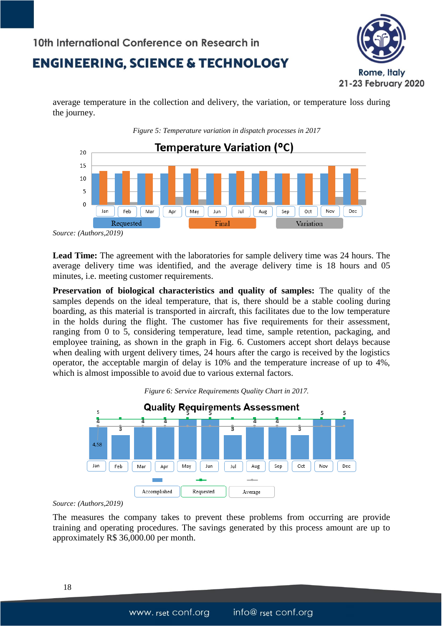

average temperature in the collection and delivery, the variation, or temperature loss during the journey.

*Figure 5: Temperature variation in dispatch processes in 2017*



*Source: (Authors,2019)*

**Lead Time:** The agreement with the laboratories for sample delivery time was 24 hours. The average delivery time was identified, and the average delivery time is 18 hours and 05 minutes, i.e. meeting customer requirements.

**Preservation of biological characteristics and quality of samples:** The quality of the samples depends on the ideal temperature, that is, there should be a stable cooling during boarding, as this material is transported in aircraft, this facilitates due to the low temperature in the holds during the flight. The customer has five requirements for their assessment, ranging from 0 to 5, considering temperature, lead time, sample retention, packaging, and employee training, as shown in the graph in Fig. 6. Customers accept short delays because when dealing with urgent delivery times, 24 hours after the cargo is received by the logistics operator, the acceptable margin of delay is 10% and the temperature increase of up to 4%, which is almost impossible to avoid due to various external factors.





*Source: (Authors,2019)*

The measures the company takes to prevent these problems from occurring are provide training and operating procedures. The savings generated by this process amount are up to approximately R\$ 36,000.00 per month.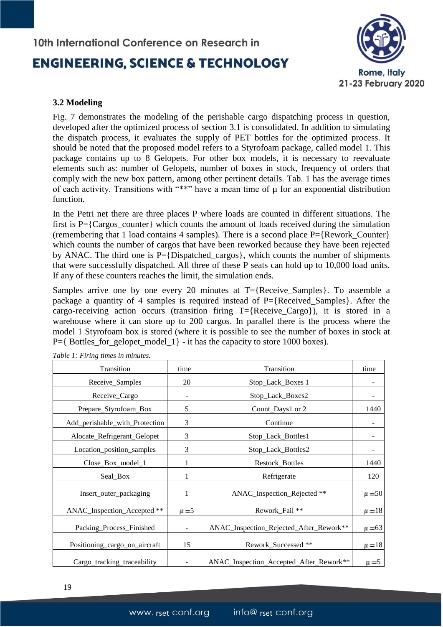# **ENGINEERING, SCIENCE & TECHNOLOGY**



#### **3.2 Modeling**

Fig. 7 demonstrates the modeling of the perishable cargo dispatching process in question, developed after the optimized process of section 3.1 is consolidated. In addition to simulating the dispatch process, it evaluates the supply of PET bottles for the optimized process. It should be noted that the proposed model refers to a Styrofoam package, called model 1. This package contains up to 8 Gelopets. For other box models, it is necessary to reevaluate elements such as: number of Gelopets, number of boxes in stock, frequency of orders that comply with the new box pattern, among other pertinent details. Tab. 1 has the average times of each activity. Transitions with "\*\*" have a mean time of  $\mu$  for an exponential distribution function.

In the Petri net there are three places P where loads are counted in different situations. The first is  $P = \{Cargos\ counter\}$  which counts the amount of loads received during the simulation (remembering that 1 load contains 4 samples). There is a second place P={Rework\_Counter} which counts the number of cargos that have been reworked because they have been rejected by ANAC. The third one is P={Dispatched\_cargos}, which counts the number of shipments that were successfully dispatched. All three of these P seats can hold up to 10,000 load units. If any of these counters reaches the limit, the simulation ends.

Samples arrive one by one every 20 minutes at  $T=\{$ Receive Samples $\}$ . To assemble a package a quantity of 4 samples is required instead of P={Received\_Samples}. After the cargo-receiving action occurs (transition firing T={Receive\_Cargo}), it is stored in a warehouse where it can store up to 200 cargos. In parallel there is the process where the model 1 Styrofoam box is stored (where it is possible to see the number of boxes in stock at  $P=\{$  Bottles\_for\_gelopet\_model\_1} - it has the capacity to store 1000 boxes).

| Transition                     | time         | Transition                              | time       |
|--------------------------------|--------------|-----------------------------------------|------------|
| Receive_Samples                | 20           | Stop_Lack_Boxes 1                       |            |
| Receive_Cargo                  | -            | Stop_Lack_Boxes2                        |            |
| Prepare_Styrofoam_Box          | 5            | Count_Days1 or 2                        | 1440       |
| Add_perishable_with_Protection | 3            | Continue                                |            |
| Alocate_Refrigerant_Gelopet    | 3            | Stop_Lack_Bottles1                      |            |
| Location_position_samples      | 3            | Stop_Lack_Bottles2                      |            |
| Close_Box_model_1              | $\mathbf{1}$ | Restock_Bottles                         | 1440       |
| Seal_Box                       | 1            | Refrigerate                             | 120        |
| Insert_outer_packaging         | 1            | ANAC_Inspection_Rejected **             | $\mu = 50$ |
| ANAC_Inspection_Accepted **    | $\mu = 5$    | Rework_Fail **                          | $\mu = 18$ |
| Packing_Process_Finished       | -            | ANAC_Inspection_Rejected_After_Rework** | $\mu = 63$ |
| Positioning_cargo_on_aircraft  | 15           | Rework_Successed **                     | $\mu = 18$ |
| Cargo_tracking_traceability    |              | ANAC_Inspection_Accepted_After_Rework** | $\mu = 5$  |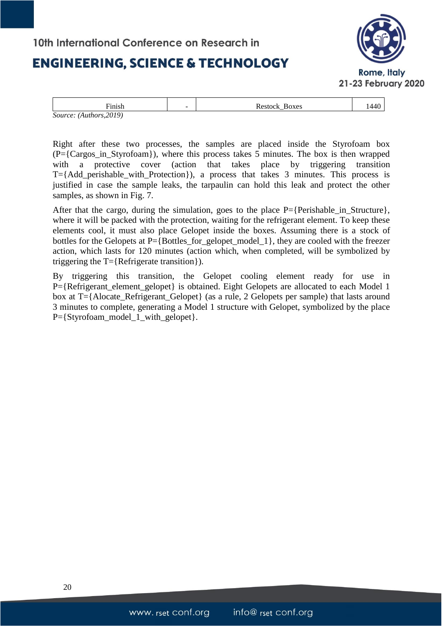## **ENGINEERING, SCIENCE & TECHNOLOGY**



| --    | $\sim$ | Restock<br>Boxes | 1440 |
|-------|--------|------------------|------|
| ınısn |        | -                |      |

Right after these two processes, the samples are placed inside the Styrofoam box (P={Cargos\_in\_Styrofoam}), where this process takes 5 minutes. The box is then wrapped with a protective cover (action that takes place by triggering transition T={Add\_perishable\_with\_Protection}), a process that takes 3 minutes. This process is justified in case the sample leaks, the tarpaulin can hold this leak and protect the other samples, as shown in Fig. 7.

After that the cargo, during the simulation, goes to the place  $P=\{Perishable\}$  in Structure}, where it will be packed with the protection, waiting for the refrigerant element. To keep these elements cool, it must also place Gelopet inside the boxes. Assuming there is a stock of bottles for the Gelopets at P={Bottles\_for\_gelopet\_model\_1}, they are cooled with the freezer action, which lasts for 120 minutes (action which, when completed, will be symbolized by triggering the T={Refrigerate transition}).

By triggering this transition, the Gelopet cooling element ready for use in P={Refrigerant\_element\_gelopet} is obtained. Eight Gelopets are allocated to each Model 1 box at T={Alocate\_Refrigerant\_Gelopet} (as a rule, 2 Gelopets per sample) that lasts around 3 minutes to complete, generating a Model 1 structure with Gelopet, symbolized by the place  $P=\{Styrofoam\ model\ 1\ with\ gelopet\}.$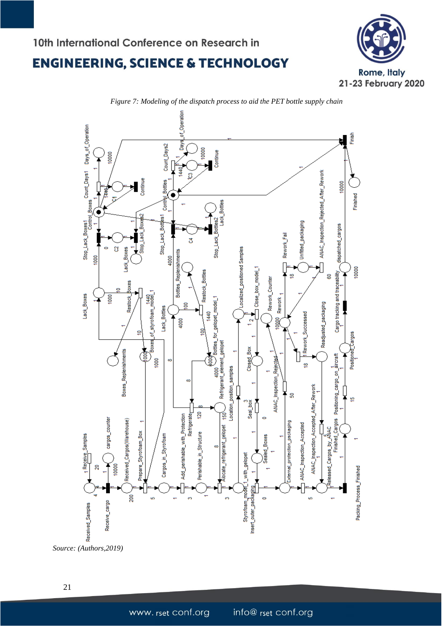



*Figure 7: Modeling of the dispatch process to aid the PET bottle supply chain*

*Source: (Authors,2019)*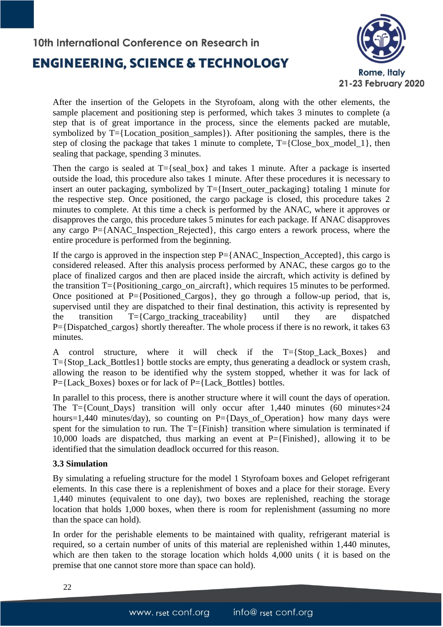

After the insertion of the Gelopets in the Styrofoam, along with the other elements, the sample placement and positioning step is performed, which takes 3 minutes to complete (a step that is of great importance in the process, since the elements packed are mutable, symbolized by T={Location\_position\_samples}). After positioning the samples, there is the step of closing the package that takes 1 minute to complete,  $T = \{Close box model 1\}$ , then sealing that package, spending 3 minutes.

Then the cargo is sealed at  $T = \{$ seal box $\}$  and takes 1 minute. After a package is inserted outside the load, this procedure also takes 1 minute. After these procedures it is necessary to insert an outer packaging, symbolized by T={Insert\_outer\_packaging} totaling 1 minute for the respective step. Once positioned, the cargo package is closed, this procedure takes 2 minutes to complete. At this time a check is performed by the ANAC, where it approves or disapproves the cargo, this procedure takes 5 minutes for each package. If ANAC disapproves any cargo P={ANAC\_Inspection\_Rejected}, this cargo enters a rework process, where the entire procedure is performed from the beginning.

If the cargo is approved in the inspection step  $P = \{ANAC\_Inspection\_Accepted\}$ , this cargo is considered released. After this analysis process performed by ANAC, these cargos go to the place of finalized cargos and then are placed inside the aircraft, which activity is defined by the transition T={Positioning\_cargo\_on\_aircraft}, which requires 15 minutes to be performed. Once positioned at P={Positioned\_Cargos}, they go through a follow-up period, that is, supervised until they are dispatched to their final destination, this activity is represented by the transition  $T=\{Cargo\_tracking\_tracking\}$  until they are dispatched P={Dispatched\_cargos} shortly thereafter. The whole process if there is no rework, it takes 63 minutes.

A control structure, where it will check if the T={Stop\_Lack\_Boxes} and T={Stop\_Lack\_Bottles1} bottle stocks are empty, thus generating a deadlock or system crash, allowing the reason to be identified why the system stopped, whether it was for lack of  $P=\{Lack\,Boxes\}$  boxes or for lack of  $P=\{Lack\,Bottles\}$  bottles.

In parallel to this process, there is another structure where it will count the days of operation. The T={Count\_Days} transition will only occur after 1,440 minutes (60 minutes $\times$ 24 hours=1,440 minutes/day), so counting on P={Days\_of\_Operation} how many days were spent for the simulation to run. The T={Finish} transition where simulation is terminated if 10,000 loads are dispatched, thus marking an event at  $P=\{F\in\}$  allowing it to be identified that the simulation deadlock occurred for this reason.

### **3.3 Simulation**

By simulating a refueling structure for the model 1 Styrofoam boxes and Gelopet refrigerant elements. In this case there is a replenishment of boxes and a place for their storage. Every 1,440 minutes (equivalent to one day), two boxes are replenished, reaching the storage location that holds 1,000 boxes, when there is room for replenishment (assuming no more than the space can hold).

In order for the perishable elements to be maintained with quality, refrigerant material is required, so a certain number of units of this material are replenished within 1,440 minutes, which are then taken to the storage location which holds 4,000 units ( it is based on the premise that one cannot store more than space can hold).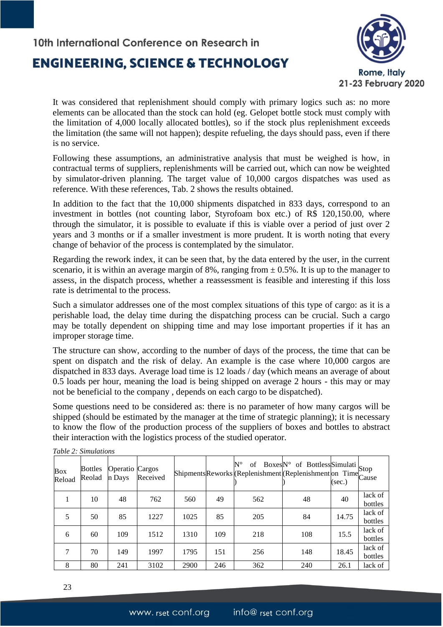## **ENGINEERING, SCIENCE & TECHNOLOGY**



It was considered that replenishment should comply with primary logics such as: no more elements can be allocated than the stock can hold (eg. Gelopet bottle stock must comply with the limitation of 4,000 locally allocated bottles), so if the stock plus replenishment exceeds the limitation (the same will not happen); despite refueling, the days should pass, even if there is no service.

Following these assumptions, an administrative analysis that must be weighed is how, in contractual terms of suppliers, replenishments will be carried out, which can now be weighted by simulator-driven planning. The target value of 10,000 cargos dispatches was used as reference. With these references, Tab. 2 shows the results obtained.

In addition to the fact that the 10,000 shipments dispatched in 833 days, correspond to an investment in bottles (not counting labor, Styrofoam box etc.) of R\$ 120,150.00, where through the simulator, it is possible to evaluate if this is viable over a period of just over 2 years and 3 months or if a smaller investment is more prudent. It is worth noting that every change of behavior of the process is contemplated by the simulator.

Regarding the rework index, it can be seen that, by the data entered by the user, in the current scenario, it is within an average margin of 8%, ranging from  $\pm$  0.5%. It is up to the manager to assess, in the dispatch process, whether a reassessment is feasible and interesting if this loss rate is detrimental to the process.

Such a simulator addresses one of the most complex situations of this type of cargo: as it is a perishable load, the delay time during the dispatching process can be crucial. Such a cargo may be totally dependent on shipping time and may lose important properties if it has an improper storage time.

The structure can show, according to the number of days of the process, the time that can be spent on dispatch and the risk of delay. An example is the case where 10,000 cargos are dispatched in 833 days. Average load time is 12 loads / day (which means an average of about 0.5 loads per hour, meaning the load is being shipped on average 2 hours - this may or may not be beneficial to the company , depends on each cargo to be dispatched).

Some questions need to be considered as: there is no parameter of how many cargos will be shipped (should be estimated by the manager at the time of strategic planning); it is necessary to know the flow of the production process of the suppliers of boxes and bottles to abstract their interaction with the logistics process of the studied operator.

| <b>Box</b><br>Reload | <b>Bottles</b><br>Reolad | Operatio Cargos<br>n Days | Received |      |     | ShipmentsReworks (Replenishment (Replenishment on Time Cause |     | (sec.) |                    |
|----------------------|--------------------------|---------------------------|----------|------|-----|--------------------------------------------------------------|-----|--------|--------------------|
|                      | 10                       | 48                        | 762      | 560  | 49  | 562                                                          | 48  | 40     | lack of<br>bottles |
| 5                    | 50                       | 85                        | 1227     | 1025 | 85  | 205                                                          | 84  | 14.75  | lack of<br>bottles |
| 6                    | 60                       | 109                       | 1512     | 1310 | 109 | 218                                                          | 108 | 15.5   | lack of<br>bottles |
| 7                    | 70                       | 149                       | 1997     | 1795 | 151 | 256                                                          | 148 | 18.45  | lack of<br>bottles |
| 8                    | 80                       | 241                       | 3102     | 2900 | 246 | 362                                                          | 240 | 26.1   | lack of            |

*Table 2: Simulations*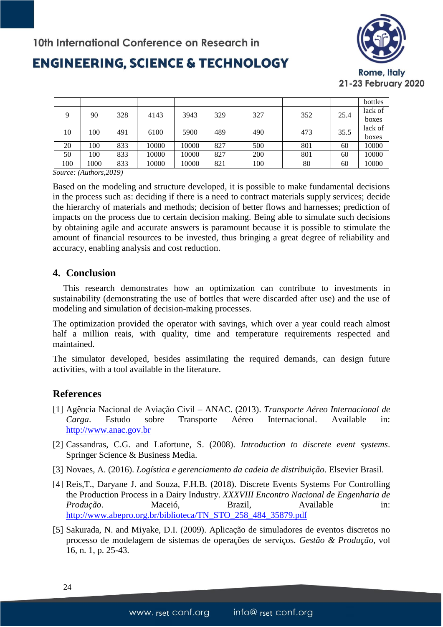

# **ENGINEERING, SCIENCE & TECHNOLOGY**

|     |      |     |       |       |     |     |     |      | bottles |
|-----|------|-----|-------|-------|-----|-----|-----|------|---------|
| Q   | 90   | 328 | 4143  | 3943  | 329 | 327 | 352 | 25.4 | lack of |
|     |      |     |       |       |     |     |     |      | boxes   |
| 10  | 100  | 491 | 6100  | 5900  | 489 | 490 | 473 | 35.5 | lack of |
|     |      |     |       |       |     |     |     |      | boxes   |
| 20  | 100  | 833 | 10000 | 10000 | 827 | 500 | 801 | 60   | 10000   |
| 50  | 100  | 833 | 10000 | 10000 | 827 | 200 | 801 | 60   | 10000   |
| 100 | 1000 | 833 | 10000 | 10000 | 821 | 100 | 80  | 60   | 10000   |

*Source: (Authors,2019)*

Based on the modeling and structure developed, it is possible to make fundamental decisions in the process such as: deciding if there is a need to contract materials supply services; decide the hierarchy of materials and methods; decision of better flows and harnesses; prediction of impacts on the process due to certain decision making. Being able to simulate such decisions by obtaining agile and accurate answers is paramount because it is possible to stimulate the amount of financial resources to be invested, thus bringing a great degree of reliability and accuracy, enabling analysis and cost reduction.

### **4. Conclusion**

This research demonstrates how an optimization can contribute to investments in sustainability (demonstrating the use of bottles that were discarded after use) and the use of modeling and simulation of decision-making processes.

The optimization provided the operator with savings, which over a year could reach almost half a million reais, with quality, time and temperature requirements respected and maintained.

The simulator developed, besides assimilating the required demands, can design future activities, with a tool available in the literature.

## **References**

- [1] Agência Nacional de Aviação Civil ANAC. (2013). *Transporte Aéreo Internacional de Carga*. Estudo sobre Transporte Aéreo Internacional. Available in: [http://www.anac.gov.br](http://www.anac.gov.br/)
- [2] Cassandras, C.G. and Lafortune, S. (2008). *Introduction to discrete event systems*. Springer Science & Business Media.
- [3] Novaes, A. (2016). *Logística e gerenciamento da cadeia de distribuição*. Elsevier Brasil.
- [4] Reis,T., Daryane J. and Souza, F.H.B. (2018). Discrete Events Systems For Controlling the Production Process in a Dairy Industry. *XXXVIII Encontro Nacional de Engenharia de*  Produção. Maceió, Brazil, Available in: [http://www.abepro.org.br/biblioteca/TN\\_STO\\_258\\_484\\_35879.pdf](http://www.abepro.org.br/biblioteca/TN_STO_258_484_35879.pdf)
- [5] Sakurada, N. and Miyake, D.I. (2009). Aplicação de simuladores de eventos discretos no processo de modelagem de sistemas de operações de serviços. *Gestão & Produção*, vol 16, n. 1, p. 25-43.